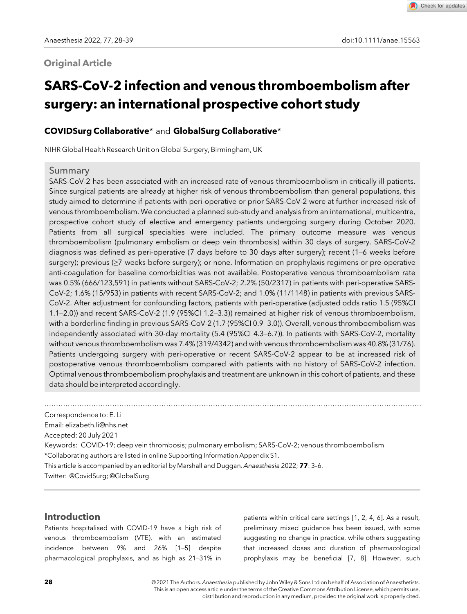# **Original Article**

Check for updates

# SARS-CoV-2 infection and venous thromboembolism after surgery: an international prospective cohort study

# COVIDSurg Collaborative\* and GlobalSurg Collaborative\*

NIHR Global Health Research Unit on Global Surgery, Birmingham, UK

## Summary

SARS-CoV-2 has been associated with an increased rate of venous thromboembolism in critically ill patients. Since surgical patients are already at higher risk of venous thromboembolism than general populations, this study aimed to determine if patients with peri-operative or prior SARS-CoV-2 were at further increased risk of venous thromboembolism. We conducted a planned sub-study and analysis from an international, multicentre, prospective cohort study of elective and emergency patients undergoing surgery during October 2020. Patients from all surgical specialties were included. The primary outcome measure was venous thromboembolism (pulmonary embolism or deep vein thrombosis) within 30 days of surgery. SARS-CoV-2 diagnosis was defined as peri-operative (7 days before to 30 days after surgery); recent (1–6 weeks before surgery); previous (≥7 weeks before surgery); or none. Information on prophylaxis regimens or pre-operative anti-coagulation for baseline comorbidities was not available. Postoperative venous thromboembolism rate was 0.5% (666/123,591) in patients without SARS-CoV-2; 2.2% (50/2317) in patients with peri-operative SARS-CoV-2; 1.6% (15/953) in patients with recent SARS-CoV-2; and 1.0% (11/1148) in patients with previous SARS-CoV-2. After adjustment for confounding factors, patients with peri-operative (adjusted odds ratio 1.5 (95%CI 1.1–2.0)) and recent SARS-CoV-2 (1.9 (95%CI 1.2–3.3)) remained at higher risk of venous thromboembolism, with a borderline finding in previous SARS-CoV-2 (1.7 (95%CI 0.9-3.0)). Overall, venous thromboembolism was independently associated with 30-day mortality (5.4 (95%CI 4.3–6.7)). In patients with SARS-CoV-2, mortality without venous thromboembolism was 7.4% (319/4342) and with venous thromboembolism was 40.8% (31/76). Patients undergoing surgery with peri-operative or recent SARS-CoV-2 appear to be at increased risk of postoperative venous thromboembolism compared with patients with no history of SARS-CoV-2 infection. Optimal venous thromboembolism prophylaxis and treatment are unknown in this cohort of patients, and these data should be interpreted accordingly.

.................................................................................................................................................................

Correspondence to: E. Li Email: elizabeth.li@nhs.net

Accepted: 20 July 2021

Keywords: COVID-19; deep vein thrombosis; pulmonary embolism; SARS-CoV-2; venous thromboembolism

\*Collaborating authors are listed in online Supporting Information Appendix S1.

This article is accompanied by an editorial by Marshall and Duggan. Anaesthesia 2022; 77: 3–6.

Twitter: @CovidSurg; @GlobalSurg

## Introduction

Patients hospitalised with COVID-19 have a high risk of venous thromboembolism (VTE), with an estimated incidence between 9% and 26% [1–5] despite pharmacological prophylaxis, and as high as 21–31% in

patients within critical care settings [1, 2, 4, 6]. As a result, preliminary mixed guidance has been issued, with some suggesting no change in practice, while others suggesting that increased doses and duration of pharmacological prophylaxis may be beneficial [7, 8]. However, such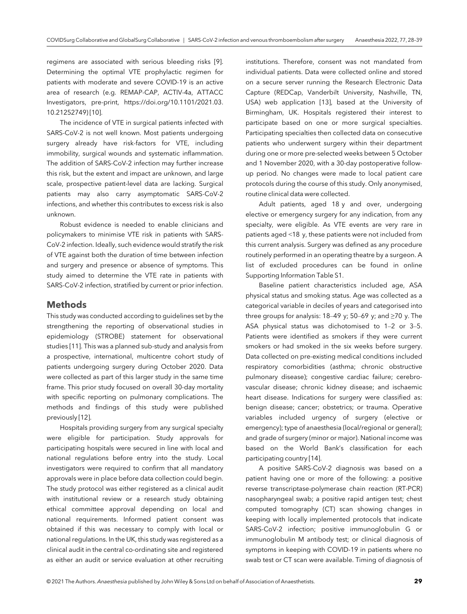regimens are associated with serious bleeding risks [9]. Determining the optimal VTE prophylactic regimen for patients with moderate and severe COVID-19 is an active area of research (e.g. REMAP-CAP, ACTIV-4a, ATTACC Investigators, pre-print, https://doi.org/10.1101/2021.03. 10.21252749) [10].

The incidence of VTE in surgical patients infected with SARS-CoV-2 is not well known. Most patients undergoing surgery already have risk-factors for VTE, including immobility, surgical wounds and systematic inflammation. The addition of SARS-CoV-2 infection may further increase this risk, but the extent and impact are unknown, and large scale, prospective patient-level data are lacking. Surgical patients may also carry asymptomatic SARS-CoV-2 infections, and whether this contributes to excess risk is also unknown.

Robust evidence is needed to enable clinicians and policymakers to minimise VTE risk in patients with SARS-CoV-2 infection. Ideally, such evidence would stratify the risk of VTE against both the duration of time between infection and surgery and presence or absence of symptoms. This study aimed to determine the VTE rate in patients with SARS-CoV-2 infection, stratified by current or prior infection.

#### Methods

This study was conducted according to guidelines set by the strengthening the reporting of observational studies in epidemiology (STROBE) statement for observational studies [11]. This was a planned sub-study and analysis from a prospective, international, multicentre cohort study of patients undergoing surgery during October 2020. Data were collected as part of this larger study in the same time frame. This prior study focused on overall 30-day mortality with specific reporting on pulmonary complications. The methods and findings of this study were published previously [12].

Hospitals providing surgery from any surgical specialty were eligible for participation. Study approvals for participating hospitals were secured in line with local and national regulations before entry into the study. Local investigators were required to confirm that all mandatory approvals were in place before data collection could begin. The study protocol was either registered as a clinical audit with institutional review or a research study obtaining ethical committee approval depending on local and national requirements. Informed patient consent was obtained if this was necessary to comply with local or national regulations. In the UK, this study was registered as a clinical audit in the central co-ordinating site and registered as either an audit or service evaluation at other recruiting

institutions. Therefore, consent was not mandated from individual patients. Data were collected online and stored on a secure server running the Research Electronic Data Capture (REDCap, Vanderbilt University, Nashville, TN, USA) web application [13], based at the University of Birmingham, UK. Hospitals registered their interest to participate based on one or more surgical specialties. Participating specialties then collected data on consecutive patients who underwent surgery within their department during one or more pre-selected weeks between 5 October and 1 November 2020, with a 30-day postoperative followup period. No changes were made to local patient care protocols during the course of this study. Only anonymised, routine clinical data were collected.

Adult patients, aged 18 y and over, undergoing elective or emergency surgery for any indication, from any specialty, were eligible. As VTE events are very rare in patients aged <18 y, these patients were not included from this current analysis. Surgery was defined as any procedure routinely performed in an operating theatre by a surgeon. A list of excluded procedures can be found in online Supporting Information Table S1.

Baseline patient characteristics included age, ASA physical status and smoking status. Age was collected as a categorical variable in deciles of years and categorised into three groups for analysis:  $18-49$  y;  $50-69$  y; and  $\geq 70$  y. The ASA physical status was dichotomised to 1–2 or 3–5. Patients were identified as smokers if they were current smokers or had smoked in the six weeks before surgery. Data collected on pre-existing medical conditions included respiratory comorbidities (asthma; chronic obstructive pulmonary disease); congestive cardiac failure; cerebrovascular disease; chronic kidney disease; and ischaemic heart disease. Indications for surgery were classified as: benign disease; cancer; obstetrics; or trauma. Operative variables included urgency of surgery (elective or emergency); type of anaesthesia (local/regional or general); and grade of surgery (minor or major). National income was based on the World Bank's classification for each participating country [14].

A positive SARS-CoV-2 diagnosis was based on a patient having one or more of the following: a positive reverse transcriptase-polymerase chain reaction (RT-PCR) nasopharyngeal swab; a positive rapid antigen test; chest computed tomography (CT) scan showing changes in keeping with locally implemented protocols that indicate SARS-CoV-2 infection; positive immunoglobulin G or immunoglobulin M antibody test; or clinical diagnosis of symptoms in keeping with COVID-19 in patients where no swab test or CT scan were available. Timing of diagnosis of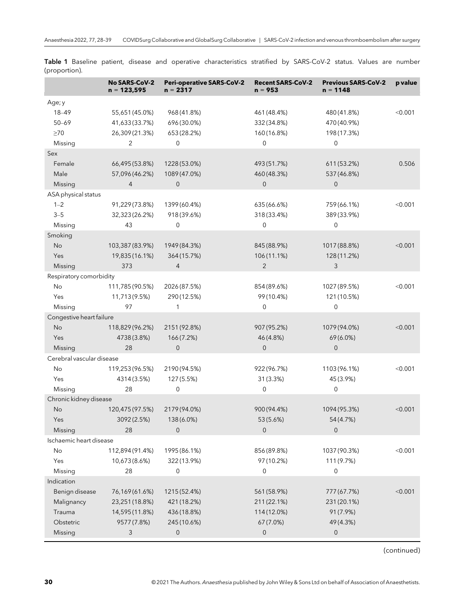|                                                                              | No SARS-CoV-2<br>$n = 123,595$                                        | <b>Peri-operative SARS-CoV-2</b><br>$n = 2317$                 | <b>Recent SARS-CoV-2</b><br>$n = 953$                       | <b>Previous SARS-CoV-2</b><br>$n = 1148$                          | p value |
|------------------------------------------------------------------------------|-----------------------------------------------------------------------|----------------------------------------------------------------|-------------------------------------------------------------|-------------------------------------------------------------------|---------|
| Age; y<br>18-49<br>$50 - 69$<br>$\geq 70$                                    | 55,651 (45.0%)<br>41,633(33.7%)<br>26,309 (21.3%)                     | 968 (41.8%)<br>696 (30.0%)<br>653 (28.2%)                      | 461 (48.4%)<br>332 (34.8%)<br>160 (16.8%)                   | 480 (41.8%)<br>470 (40.9%)<br>198 (17.3%)                         | < 0.001 |
| Missing<br>Sex                                                               | 2                                                                     | 0                                                              | 0                                                           | $\mathbf 0$                                                       |         |
| Female<br>Male<br>Missing                                                    | 66,495 (53.8%)<br>57,096(46.2%)<br>$\overline{4}$                     | 1228 (53.0%)<br>1089 (47.0%)<br>$\overline{0}$                 | 493 (51.7%)<br>460 (48.3%)<br>$\overline{0}$                | 611 (53.2%)<br>537 (46.8%)<br>0                                   | 0.506   |
| ASA physical status                                                          |                                                                       |                                                                |                                                             |                                                                   |         |
| $1 - 2$<br>$3 - 5$<br>Missing                                                | 91,229 (73.8%)<br>32,323 (26.2%)<br>43                                | 1399 (60.4%)<br>918 (39.6%)<br>0                               | 635 (66.6%)<br>318 (33.4%)<br>$\mathbf 0$                   | 759 (66.1%)<br>389 (33.9%)<br>0                                   | < 0.001 |
| Smoking<br><b>No</b><br>Yes<br>Missing                                       | 103,387 (83.9%)<br>19,835 (16.1%)<br>373                              | 1949 (84.3%)<br>364 (15.7%)<br>$\overline{4}$                  | 845 (88.9%)<br>106 (11.1%)<br>$\overline{2}$                | 1017 (88.8%)<br>128 (11.2%)<br>3                                  | < 0.001 |
| Respiratory comorbidity                                                      |                                                                       |                                                                |                                                             |                                                                   |         |
| No<br>Yes<br>Missing                                                         | 111,785 (90.5%)<br>11,713(9.5%)<br>97                                 | 2026 (87.5%)<br>290 (12.5%)<br>$\mathbf{1}$                    | 854 (89.6%)<br>99 (10.4%)<br>$\mathbf 0$                    | 1027 (89.5%)<br>121 (10.5%)<br>$\mathsf{O}\xspace$                | < 0.001 |
| Congestive heart failure                                                     |                                                                       |                                                                |                                                             |                                                                   |         |
| No<br>Yes<br>Missing                                                         | 118,829 (96.2%)<br>4738 (3.8%)<br>28                                  | 2151 (92.8%)<br>166(7.2%)<br>$\mathbf 0$                       | 907 (95.2%)<br>46 (4.8%)<br>$\overline{0}$                  | 1079 (94.0%)<br>69 (6.0%)<br>$\mathbf 0$                          | < 0.001 |
| Cerebral vascular disease                                                    |                                                                       |                                                                |                                                             |                                                                   |         |
| No<br>Yes<br>Missing                                                         | 119,253 (96.5%)<br>4314 (3.5%)<br>28                                  | 2190 (94.5%)<br>127 (5.5%)<br>0                                | 922 (96.7%)<br>31 (3.3%)<br>$\overline{0}$                  | 1103 (96.1%)<br>45 (3.9%)<br>0                                    | < 0.001 |
| Chronic kidney disease                                                       |                                                                       |                                                                |                                                             |                                                                   |         |
| No<br>Yes<br>Missing                                                         | 120,475 (97.5%)<br>3092 (2.5%)<br>28                                  | 2179 (94.0%)<br>138 (6.0%)<br>0                                | 900 (94.4%)<br>53 (5.6%)<br>0                               | 1094 (95.3%)<br>54 (4.7%)<br>0                                    | < 0.001 |
| Ischaemic heart disease                                                      |                                                                       |                                                                |                                                             |                                                                   |         |
| No<br>Yes<br>Missing                                                         | 112,894 (91.4%)<br>10,673 (8.6%)<br>28                                | 1995 (86.1%)<br>322 (13.9%)<br>0                               | 856 (89.8%)<br>97 (10.2%)<br>0                              | 1037 (90.3%)<br>111 (9.7%)<br>$\mathbf 0$                         | < 0.001 |
| Indication<br>Benign disease<br>Malignancy<br>Trauma<br>Obstetric<br>Missing | 76,169(61.6%)<br>23,251 (18.8%)<br>14,595 (11.8%)<br>9577 (7.8%)<br>3 | 1215 (52.4%)<br>421 (18.2%)<br>436 (18.8%)<br>245 (10.6%)<br>0 | 561 (58.9%)<br>211 (22.1%)<br>114 (12.0%)<br>67 (7.0%)<br>0 | 777 (67.7%)<br>231 (20.1%)<br>91 (7.9%)<br>49 (4.3%)<br>$\pmb{0}$ | < 0.001 |

Table 1 Baseline patient, disease and operative characteristics stratified by SARS-CoV-2 status. Values are number (proportion).

(continued)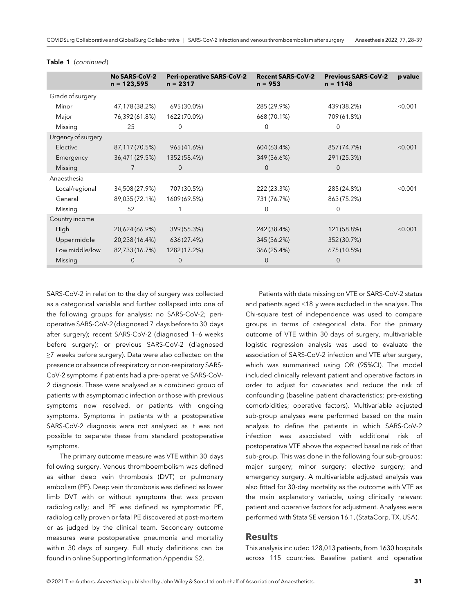|                    | <b>No SARS-CoV-2</b><br>$n = 123,595$ | <b>Peri-operative SARS-CoV-2</b><br>$n = 2317$ | <b>Recent SARS-CoV-2</b><br>$n = 953$ | <b>Previous SARS-CoV-2</b><br>$n = 1148$ | p value |
|--------------------|---------------------------------------|------------------------------------------------|---------------------------------------|------------------------------------------|---------|
| Grade of surgery   |                                       |                                                |                                       |                                          |         |
| Minor              | 47,178(38.2%)                         | 695 (30.0%)                                    | 285 (29.9%)                           | 439 (38.2%)                              | < 0.001 |
| Major              | 76,392(61.8%)                         | 1622 (70.0%)                                   | 668 (70.1%)                           | 709 (61.8%)                              |         |
| Missing            | 25                                    | $\mathbf 0$                                    | $\Omega$                              | $\mathbf 0$                              |         |
| Urgency of surgery |                                       |                                                |                                       |                                          |         |
| Elective           | 87,117(70.5%)                         | 965 (41.6%)                                    | 604 (63.4%)                           | 857 (74.7%)                              | < 0.001 |
| Emergency          | 36,471 (29.5%)                        | 1352 (58.4%)                                   | 349 (36.6%)                           | 291 (25.3%)                              |         |
| Missing            | 7                                     | $\mathbf{0}$                                   | $\mathbf{0}$                          | $\mathbf 0$                              |         |
| Anaesthesia        |                                       |                                                |                                       |                                          |         |
| Local/regional     | 34,508 (27.9%)                        | 707 (30.5%)                                    | 222 (23.3%)                           | 285 (24.8%)                              | < 0.001 |
| General            | 89,035 (72.1%)                        | 1609 (69.5%)                                   | 731 (76.7%)                           | 863 (75.2%)                              |         |
| Missing            | 52                                    |                                                | $\Omega$                              | 0                                        |         |
| Country income     |                                       |                                                |                                       |                                          |         |
| High               | 20,624 (66.9%)                        | 399 (55.3%)                                    | 242 (38.4%)                           | 121 (58.8%)                              | < 0.001 |
| Upper middle       | 20,238 (16.4%)                        | 636 (27.4%)                                    | 345 (36.2%)                           | 352 (30.7%)                              |         |
| Low middle/low     | 82,733(16.7%)                         | 1282 (17.2%)                                   | 366 (25.4%)                           | 675 (10.5%)                              |         |
| Missing            | 0                                     | $\mathbf 0$                                    | 0                                     | 0                                        |         |

#### Table 1 (continued)

SARS-CoV-2 in relation to the day of surgery was collected as a categorical variable and further collapsed into one of the following groups for analysis: no SARS-CoV-2; perioperative SARS-CoV-2 (diagnosed 7 days before to 30 days after surgery); recent SARS-CoV-2 (diagnosed 1–6 weeks before surgery); or previous SARS-CoV-2 (diagnosed ≥7 weeks before surgery). Data were also collected on the presence or absence of respiratory or non-respiratory SARS-CoV-2 symptoms if patients had a pre-operative SARS-CoV-2 diagnosis. These were analysed as a combined group of patients with asymptomatic infection or those with previous symptoms now resolved, or patients with ongoing symptoms. Symptoms in patients with a postoperative SARS-CoV-2 diagnosis were not analysed as it was not possible to separate these from standard postoperative symptoms.

The primary outcome measure was VTE within 30 days following surgery. Venous thromboembolism was defined as either deep vein thrombosis (DVT) or pulmonary embolism (PE). Deep vein thrombosis was defined as lower limb DVT with or without symptoms that was proven radiologically; and PE was defined as symptomatic PE, radiologically proven or fatal PE discovered at post-mortem or as judged by the clinical team. Secondary outcome measures were postoperative pneumonia and mortality within 30 days of surgery. Full study definitions can be found in online Supporting Information Appendix S2.

Patients with data missing on VTE or SARS-CoV-2 status and patients aged <18 y were excluded in the analysis. The Chi-square test of independence was used to compare groups in terms of categorical data. For the primary outcome of VTE within 30 days of surgery, multivariable logistic regression analysis was used to evaluate the association of SARS-CoV-2 infection and VTE after surgery, which was summarised using OR (95%CI). The model included clinically relevant patient and operative factors in order to adjust for covariates and reduce the risk of confounding (baseline patient characteristics; pre-existing comorbidities; operative factors). Multivariable adjusted sub-group analyses were performed based on the main analysis to define the patients in which SARS-CoV-2 infection was associated with additional risk of postoperative VTE above the expected baseline risk of that sub-group. This was done in the following four sub-groups: major surgery; minor surgery; elective surgery; and emergency surgery. A multivariable adjusted analysis was also fitted for 30-day mortality as the outcome with VTE as the main explanatory variable, using clinically relevant patient and operative factors for adjustment. Analyses were performed with Stata SE version 16.1, (StataCorp, TX, USA).

#### Results

This analysis included 128,013 patients, from 1630 hospitals across 115 countries. Baseline patient and operative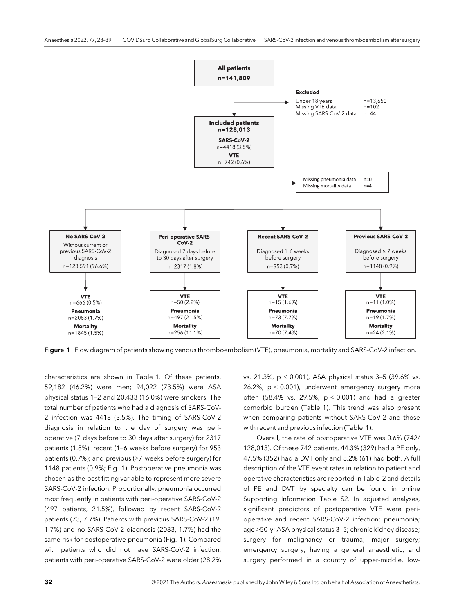

Figure 1 Flow diagram of patients showing venous thromboembolism (VTE), pneumonia, mortality and SARS-CoV-2 infection.

characteristics are shown in Table 1. Of these patients, 59,182 (46.2%) were men; 94,022 (73.5%) were ASA physical status 1–2 and 20,433 (16.0%) were smokers. The total number of patients who had a diagnosis of SARS-CoV-2 infection was 4418 (3.5%). The timing of SARS-CoV-2 diagnosis in relation to the day of surgery was perioperative (7 days before to 30 days after surgery) for 2317 patients (1.8%); recent (1–6 weeks before surgery) for 953 patients (0.7%); and previous (≥7 weeks before surgery) for 1148 patients (0.9%; Fig. 1). Postoperative pneumonia was chosen as the best fitting variable to represent more severe SARS-CoV-2 infection. Proportionally, pneumonia occurred most frequently in patients with peri-operative SARS-CoV-2 (497 patients, 21.5%), followed by recent SARS-CoV-2 patients (73, 7.7%). Patients with previous SARS-CoV-2 (19, 1.7%) and no SARS-CoV-2 diagnosis (2083, 1.7%) had the same risk for postoperative pneumonia (Fig. 1). Compared with patients who did not have SARS-CoV-2 infection, patients with peri-operative SARS-CoV-2 were older (28.2% vs. 21.3%, p < 0.001), ASA physical status 3–5 (39.6% vs. 26.2%, p < 0.001), underwent emergency surgery more often (58.4% vs. 29.5%,  $p < 0.001$ ) and had a greater comorbid burden (Table 1). This trend was also present when comparing patients without SARS-CoV-2 and those with recent and previous infection (Table 1).

Overall, the rate of postoperative VTE was 0.6% (742/ 128,013). Of these 742 patients, 44.3% (329) had a PE only, 47.5% (352) had a DVT only and 8.2% (61) had both. A full description of the VTE event rates in relation to patient and operative characteristics are reported in Table 2 and details of PE and DVT by specialty can be found in online Supporting Information Table S2. In adjusted analyses, significant predictors of postoperative VTE were perioperative and recent SARS-CoV-2 infection; pneumonia; age >50 y; ASA physical status 3–5; chronic kidney disease; surgery for malignancy or trauma; major surgery; emergency surgery; having a general anaesthetic; and surgery performed in a country of upper-middle, low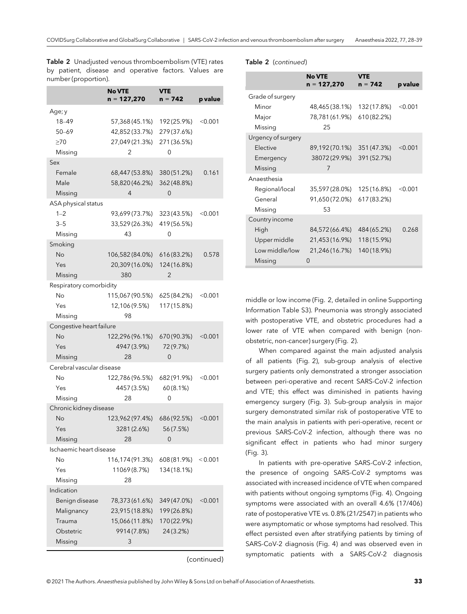Table 2 Unadjusted venous thromboembolism (VTE) rates by patient, disease and operative factors. Values are number (proportion).

|                                                                              | No VTE<br>n = 127,270                                                  | <b>VTE</b><br>n = 742                                  | p value        |
|------------------------------------------------------------------------------|------------------------------------------------------------------------|--------------------------------------------------------|----------------|
|                                                                              |                                                                        |                                                        |                |
| Age; y<br>18-49<br>$50 - 69$<br>$\geq 70$<br>Missing                         | 57,368 (45.1%)<br>42,852 (33.7%)<br>27,049 (21.3%)<br>2                | 192 (25.9%)<br>279 (37.6%)<br>271 (36.5%)<br>0         | $<$ 0.001      |
| Sex<br>Female<br>Male<br>Missing                                             | 68,447 (53.8%)<br>58,820 (46.2%)<br>4                                  | 380 (51.2%)<br>362 (48.8%)<br>$\mathbf 0$              | 0.161          |
| ASA physical status<br>$1 - 2$<br>$3 - 5$<br>Missing                         | 93,699 (73.7%)<br>33,529 (26.3%)<br>43                                 | 323 (43.5%)<br>419 (56.5%)<br>0                        | $<$ 0.001      |
| Smoking<br>No<br>Yes<br>Missing                                              | 106,582 (84.0%)<br>20,309 (16.0%)<br>380                               | 616(83.2%)<br>124 (16.8%)<br>2                         | 0.578          |
| Respiratory comorbidity<br>No<br>Yes<br>Missing                              | 115,067 (90.5%)<br>12,106 (9.5%)<br>98                                 | 625 (84.2%)<br>117 (15.8%)                             | $<$ 0.001 $<$  |
| Congestive heart failure<br>No<br>Yes<br>Missing                             | 122,296 (96.1%)<br>4947 (3.9%)<br>28                                   | 670 (90.3%)<br>72 (9.7%)<br>0                          | $<$ 0.001      |
| Cerebral vascular disease<br>No<br>Yes<br>Missing                            | 122,786 (96.5%)<br>4457 (3.5%)<br>28                                   | 682 (91.9%)<br>60(8.1%)<br>0                           | $<$ 0.001 $<$  |
| Chronic kidney disease<br>No<br>Yes<br>Missing                               | 123,962 (97.4%)<br>3281 (2.6%)<br>28                                   | 686 (92.5%)<br>56 (7.5%)<br>$\mathbf{0}$               | $<$ 0.001      |
| Ischaemic heart disease<br>No<br>Yes<br>Missing                              | 116,174 (91.3%)<br>11069 (8.7%)<br>28                                  | 608 (81.9%)<br>134 (18.1%)                             | < 0.001        |
| Indication<br>Benign disease<br>Malignancy<br>Trauma<br>Obstetric<br>Missing | 78,373 (61.6%)<br>23,915 (18.8%)<br>15,066 (11.8%)<br>9914 (7.8%)<br>3 | 349 (47.0%)<br>199 (26.8%)<br>170 (22.9%)<br>24 (3.2%) | $<$ 0.001 $\,$ |

(continued)

#### Table 2 (continued)

|                    | <b>No VTE</b><br>$n = 127,270$ | VTE<br>$n = 742$ | p value |
|--------------------|--------------------------------|------------------|---------|
| Grade of surgery   |                                |                  |         |
| Minor              | 48,465 (38.1%)                 | 132 (17.8%)      | < 0.001 |
| Major              | 78,781 (61.9%)                 | 610 (82.2%)      |         |
| Missing            | 25                             |                  |         |
| Urgency of surgery |                                |                  |         |
| <b>Flective</b>    | 89,192(70.1%)                  | 351 (47.3%)      | < 0.001 |
| Emergency          | 38072(29.9%)                   | 391 (52.7%)      |         |
| Missing            | 7                              |                  |         |
| Anaesthesia        |                                |                  |         |
| Regional/local     | 35,597 (28.0%)                 | 125 (16.8%)      | < 0.001 |
| General            | 91,650(72.0%)                  | 617 (83.2%)      |         |
| Missing            | 53                             |                  |         |
| Country income     |                                |                  |         |
| High               | 84,572 (66.4%)                 | 484 (65.2%)      | 0.268   |
| Upper middle       | 21,453(16.9%)                  | 118 (15.9%)      |         |
| Low middle/low     | 21,246(16.7%)                  | 140 (18.9%)      |         |
| Missing            | 0                              |                  |         |

middle or low income (Fig. 2, detailed in online Supporting Information Table S3). Pneumonia was strongly associated with postoperative VTE, and obstetric procedures had a lower rate of VTE when compared with benign (nonobstetric, non-cancer) surgery (Fig. 2).

When compared against the main adjusted analysis of all patients (Fig. 2), sub-group analysis of elective surgery patients only demonstrated a stronger association between peri-operative and recent SARS-CoV-2 infection and VTE; this effect was diminished in patients having emergency surgery (Fig. 3). Sub-group analysis in major surgery demonstrated similar risk of postoperative VTE to the main analysis in patients with peri-operative, recent or previous SARS-CoV-2 infection, although there was no significant effect in patients who had minor surgery (Fig. 3).

In patients with pre-operative SARS-CoV-2 infection, the presence of ongoing SARS-CoV-2 symptoms was associated with increased incidence of VTE when compared with patients without ongoing symptoms (Fig. 4). Ongoing symptoms were associated with an overall 4.6% (17/406) rate of postoperative VTE vs. 0.8% (21/2547) in patients who were asymptomatic or whose symptoms had resolved. This effect persisted even after stratifying patients by timing of SARS-CoV-2 diagnosis (Fig. 4) and was observed even in symptomatic patients with a SARS-CoV-2 diagnosis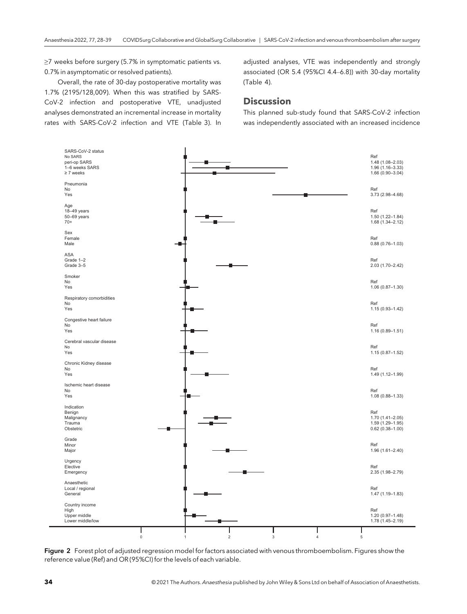≥7 weeks before surgery (5.7% in symptomatic patients vs. 0.7% in asymptomatic or resolved patients).

Overall, the rate of 30-day postoperative mortality was 1.7% (2195/128,009). When this was stratified by SARS-CoV-2 infection and postoperative VTE, unadjusted analyses demonstrated an incremental increase in mortality rates with SARS-CoV-2 infection and VTE (Table 3). In adjusted analyses, VTE was independently and strongly associated (OR 5.4 (95%CI 4.4–6.8)) with 30-day mortality (Table 4).

#### **Discussion**

This planned sub-study found that SARS-CoV-2 infection was independently associated with an increased incidence



Figure 2 Forest plot of adjusted regression model for factors associated with venous thromboembolism. Figures show the reference value (Ref) and OR (95%CI) for the levels of each variable.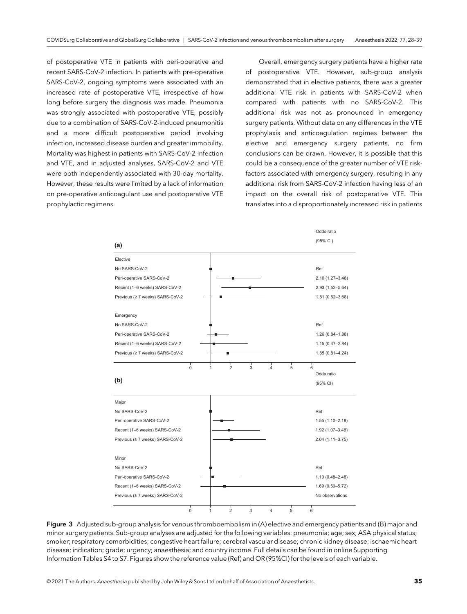of postoperative VTE in patients with peri-operative and recent SARS-CoV-2 infection. In patients with pre-operative SARS-CoV-2, ongoing symptoms were associated with an increased rate of postoperative VTE, irrespective of how long before surgery the diagnosis was made. Pneumonia was strongly associated with postoperative VTE, possibly due to a combination of SARS-CoV-2-induced pneumonitis and a more difficult postoperative period involving infection, increased disease burden and greater immobility. Mortality was highest in patients with SARS-CoV-2 infection and VTE, and in adjusted analyses, SARS-CoV-2 and VTE were both independently associated with 30-day mortality. However, these results were limited by a lack of information on pre-operative anticoagulant use and postoperative VTE prophylactic regimens.

Overall, emergency surgery patients have a higher rate of postoperative VTE. However, sub-group analysis demonstrated that in elective patients, there was a greater additional VTE risk in patients with SARS-CoV-2 when compared with patients with no SARS-CoV-2. This additional risk was not as pronounced in emergency surgery patients. Without data on any differences in the VTE prophylaxis and anticoagulation regimes between the elective and emergency surgery patients, no firm conclusions can be drawn. However, it is possible that this could be a consequence of the greater number of VTE riskfactors associated with emergency surgery, resulting in any additional risk from SARS-CoV-2 infection having less of an impact on the overall risk of postoperative VTE. This translates into a disproportionately increased risk in patients



Figure 3 Adjusted sub-group analysis for venous thromboembolism in (A) elective and emergency patients and (B) major and minor surgery patients. Sub-group analyses are adjusted for the following variables: pneumonia; age; sex; ASA physical status; smoker; respiratory comorbidities; congestive heart failure; cerebral vascular disease; chronic kidney disease; ischaemic heart disease; indication; grade; urgency; anaesthesia; and country income. Full details can be found in online Supporting Information Tables S4 to S7. Figures show the reference value (Ref) and OR (95%CI) for the levels of each variable.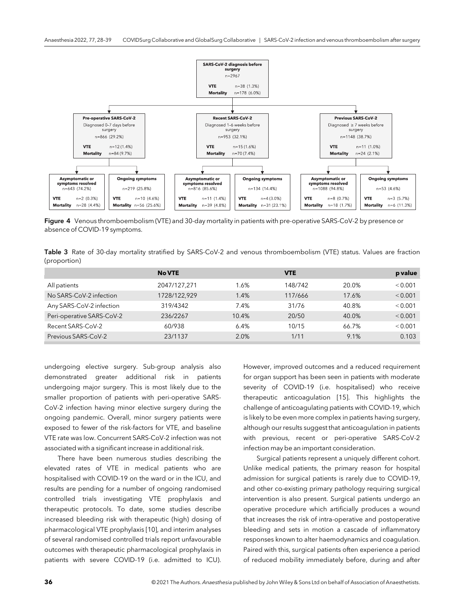

Figure 4 Venous thromboembolism (VTE) and 30-day mortality in patients with pre-operative SARS-CoV-2 by presence or absence of COVID-19 symptoms.

Table 3 Rate of 30-day mortality stratified by SARS-CoV-2 and venous thromboembolism (VTE) status. Values are fraction (proportion)

|                           | <b>No VTE</b> |       | <b>VTE</b> |       | p value |
|---------------------------|---------------|-------|------------|-------|---------|
| All patients              | 2047/127,271  | 1.6%  | 148/742    | 20.0% | < 0.001 |
| No SARS-CoV-2 infection   | 1728/122,929  | 1.4%  | 117/666    | 17.6% | < 0.001 |
| Any SARS-CoV-2 infection  | 319/4342      | 7.4%  | 31/76      | 40.8% | < 0.001 |
| Peri-operative SARS-CoV-2 | 236/2267      | 10.4% | 20/50      | 40.0% | < 0.001 |
| Recent SARS-CoV-2         | 60/938        | 6.4%  | 10/15      | 66.7% | < 0.001 |
| Previous SARS-CoV-2       | 23/1137       | 2.0%  | 1/11       | 9.1%  | 0.103   |

undergoing elective surgery. Sub-group analysis also demonstrated greater additional risk in patients undergoing major surgery. This is most likely due to the smaller proportion of patients with peri-operative SARS-CoV-2 infection having minor elective surgery during the ongoing pandemic. Overall, minor surgery patients were exposed to fewer of the risk-factors for VTE, and baseline VTE rate was low. Concurrent SARS-CoV-2 infection was not associated with a significant increase in additional risk.

There have been numerous studies describing the elevated rates of VTE in medical patients who are hospitalised with COVID-19 on the ward or in the ICU, and results are pending for a number of ongoing randomised controlled trials investigating VTE prophylaxis and therapeutic protocols. To date, some studies describe increased bleeding risk with therapeutic (high) dosing of pharmacological VTE prophylaxis [10], and interim analyses of several randomised controlled trials report unfavourable outcomes with therapeutic pharmacological prophylaxis in patients with severe COVID-19 (i.e. admitted to ICU).

However, improved outcomes and a reduced requirement for organ support has been seen in patients with moderate severity of COVID-19 (i.e. hospitalised) who receive therapeutic anticoagulation [15]. This highlights the challenge of anticoagulating patients with COVID-19, which is likely to be even more complex in patients having surgery, although our results suggest that anticoagulation in patients with previous, recent or peri-operative SARS-CoV-2 infection may be an important consideration.

Surgical patients represent a uniquely different cohort. Unlike medical patients, the primary reason for hospital admission for surgical patients is rarely due to COVID-19, and other co-existing primary pathology requiring surgical intervention is also present. Surgical patients undergo an operative procedure which artificially produces a wound that increases the risk of intra-operative and postoperative bleeding and sets in motion a cascade of inflammatory responses known to alter haemodynamics and coagulation. Paired with this, surgical patients often experience a period of reduced mobility immediately before, during and after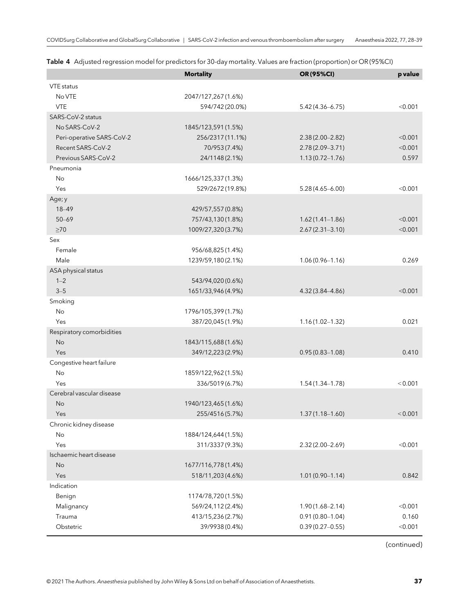| <b>VTE</b> status<br>No VTE<br>2047/127,267(1.6%)<br><b>VTE</b><br>594/742 (20.0%)<br>< 0.001<br>$5.42(4.36 - 6.75)$<br>SARS-CoV-2 status<br>No SARS-CoV-2<br>1845/123,591 (1.5%)<br>< 0.001<br>Peri-operative SARS-CoV-2<br>256/2317 (11.1%)<br>$2.38(2.00 - 2.82)$<br>Recent SARS-CoV-2<br>$2.78(2.09 - 3.71)$<br>< 0.001<br>70/953 (7.4%)<br>Previous SARS-CoV-2<br>24/1148 (2.1%)<br>$1.13(0.72 - 1.76)$<br>0.597<br>Pneumonia<br>No<br>1666/125,337 (1.3%)<br>529/2672 (19.8%)<br>< 0.001<br>Yes<br>$5.28(4.65 - 6.00)$<br>Age; y<br>18-49<br>429/57,557 (0.8%)<br>757/43,130 (1.8%)<br>$50 - 69$<br>$1.62(1.41 - 1.86)$<br>< 0.001<br>$\geq 70$<br>1009/27,320(3.7%)<br>$2.67(2.31 - 3.10)$<br>< 0.001<br>Sex<br>Female<br>956/68,825 (1.4%)<br>Male<br>1239/59,180(2.1%)<br>0.269<br>$1.06(0.96 - 1.16)$<br>ASA physical status<br>$1 - 2$<br>543/94,020 (0.6%)<br>$3 - 5$<br>1651/33,946 (4.9%)<br>< 0.001<br>4.32 (3.84-4.86)<br>Smoking<br>No<br>1796/105,399 (1.7%)<br>Yes<br>387/20,045 (1.9%)<br>0.021<br>$1.16(1.02 - 1.32)$<br>Respiratory comorbidities<br>No<br>1843/115,688(1.6%)<br>349/12,223 (2.9%)<br>0.410<br>Yes<br>$0.95(0.83 - 1.08)$<br>Congestive heart failure<br>No<br>1859/122,962(1.5%)<br>336/5019 (6.7%)<br>< 0.001<br>Yes<br>$1.54(1.34 - 1.78)$<br>Cerebral vascular disease<br>No<br>1940/123,465(1.6%)<br>255/4516 (5.7%)<br>< 0.001<br>Yes<br>$1.37(1.18 - 1.60)$<br>Chronic kidney disease<br>No<br>1884/124,644 (1.5%)<br>Yes<br>< 0.001<br>311/3337 (9.3%)<br>$2.32(2.00 - 2.69)$<br>Ischaemic heart disease<br>1677/116,778(1.4%)<br>No<br>Yes<br>518/11,203 (4.6%)<br>$1.01(0.90 - 1.14)$<br>0.842<br>Indication<br>1174/78,720 (1.5%)<br>Benign<br>< 0.001 |            | <b>Mortality</b> | OR (95%CI)          | p value |
|---------------------------------------------------------------------------------------------------------------------------------------------------------------------------------------------------------------------------------------------------------------------------------------------------------------------------------------------------------------------------------------------------------------------------------------------------------------------------------------------------------------------------------------------------------------------------------------------------------------------------------------------------------------------------------------------------------------------------------------------------------------------------------------------------------------------------------------------------------------------------------------------------------------------------------------------------------------------------------------------------------------------------------------------------------------------------------------------------------------------------------------------------------------------------------------------------------------------------------------------------------------------------------------------------------------------------------------------------------------------------------------------------------------------------------------------------------------------------------------------------------------------------------------------------------------------------------------------------------------------------------------------------------------------------------------------------------|------------|------------------|---------------------|---------|
|                                                                                                                                                                                                                                                                                                                                                                                                                                                                                                                                                                                                                                                                                                                                                                                                                                                                                                                                                                                                                                                                                                                                                                                                                                                                                                                                                                                                                                                                                                                                                                                                                                                                                                         |            |                  |                     |         |
|                                                                                                                                                                                                                                                                                                                                                                                                                                                                                                                                                                                                                                                                                                                                                                                                                                                                                                                                                                                                                                                                                                                                                                                                                                                                                                                                                                                                                                                                                                                                                                                                                                                                                                         |            |                  |                     |         |
|                                                                                                                                                                                                                                                                                                                                                                                                                                                                                                                                                                                                                                                                                                                                                                                                                                                                                                                                                                                                                                                                                                                                                                                                                                                                                                                                                                                                                                                                                                                                                                                                                                                                                                         |            |                  |                     |         |
|                                                                                                                                                                                                                                                                                                                                                                                                                                                                                                                                                                                                                                                                                                                                                                                                                                                                                                                                                                                                                                                                                                                                                                                                                                                                                                                                                                                                                                                                                                                                                                                                                                                                                                         |            |                  |                     |         |
|                                                                                                                                                                                                                                                                                                                                                                                                                                                                                                                                                                                                                                                                                                                                                                                                                                                                                                                                                                                                                                                                                                                                                                                                                                                                                                                                                                                                                                                                                                                                                                                                                                                                                                         |            |                  |                     |         |
|                                                                                                                                                                                                                                                                                                                                                                                                                                                                                                                                                                                                                                                                                                                                                                                                                                                                                                                                                                                                                                                                                                                                                                                                                                                                                                                                                                                                                                                                                                                                                                                                                                                                                                         |            |                  |                     |         |
|                                                                                                                                                                                                                                                                                                                                                                                                                                                                                                                                                                                                                                                                                                                                                                                                                                                                                                                                                                                                                                                                                                                                                                                                                                                                                                                                                                                                                                                                                                                                                                                                                                                                                                         |            |                  |                     |         |
|                                                                                                                                                                                                                                                                                                                                                                                                                                                                                                                                                                                                                                                                                                                                                                                                                                                                                                                                                                                                                                                                                                                                                                                                                                                                                                                                                                                                                                                                                                                                                                                                                                                                                                         |            |                  |                     |         |
|                                                                                                                                                                                                                                                                                                                                                                                                                                                                                                                                                                                                                                                                                                                                                                                                                                                                                                                                                                                                                                                                                                                                                                                                                                                                                                                                                                                                                                                                                                                                                                                                                                                                                                         |            |                  |                     |         |
|                                                                                                                                                                                                                                                                                                                                                                                                                                                                                                                                                                                                                                                                                                                                                                                                                                                                                                                                                                                                                                                                                                                                                                                                                                                                                                                                                                                                                                                                                                                                                                                                                                                                                                         |            |                  |                     |         |
|                                                                                                                                                                                                                                                                                                                                                                                                                                                                                                                                                                                                                                                                                                                                                                                                                                                                                                                                                                                                                                                                                                                                                                                                                                                                                                                                                                                                                                                                                                                                                                                                                                                                                                         |            |                  |                     |         |
|                                                                                                                                                                                                                                                                                                                                                                                                                                                                                                                                                                                                                                                                                                                                                                                                                                                                                                                                                                                                                                                                                                                                                                                                                                                                                                                                                                                                                                                                                                                                                                                                                                                                                                         |            |                  |                     |         |
|                                                                                                                                                                                                                                                                                                                                                                                                                                                                                                                                                                                                                                                                                                                                                                                                                                                                                                                                                                                                                                                                                                                                                                                                                                                                                                                                                                                                                                                                                                                                                                                                                                                                                                         |            |                  |                     |         |
|                                                                                                                                                                                                                                                                                                                                                                                                                                                                                                                                                                                                                                                                                                                                                                                                                                                                                                                                                                                                                                                                                                                                                                                                                                                                                                                                                                                                                                                                                                                                                                                                                                                                                                         |            |                  |                     |         |
|                                                                                                                                                                                                                                                                                                                                                                                                                                                                                                                                                                                                                                                                                                                                                                                                                                                                                                                                                                                                                                                                                                                                                                                                                                                                                                                                                                                                                                                                                                                                                                                                                                                                                                         |            |                  |                     |         |
|                                                                                                                                                                                                                                                                                                                                                                                                                                                                                                                                                                                                                                                                                                                                                                                                                                                                                                                                                                                                                                                                                                                                                                                                                                                                                                                                                                                                                                                                                                                                                                                                                                                                                                         |            |                  |                     |         |
|                                                                                                                                                                                                                                                                                                                                                                                                                                                                                                                                                                                                                                                                                                                                                                                                                                                                                                                                                                                                                                                                                                                                                                                                                                                                                                                                                                                                                                                                                                                                                                                                                                                                                                         |            |                  |                     |         |
|                                                                                                                                                                                                                                                                                                                                                                                                                                                                                                                                                                                                                                                                                                                                                                                                                                                                                                                                                                                                                                                                                                                                                                                                                                                                                                                                                                                                                                                                                                                                                                                                                                                                                                         |            |                  |                     |         |
|                                                                                                                                                                                                                                                                                                                                                                                                                                                                                                                                                                                                                                                                                                                                                                                                                                                                                                                                                                                                                                                                                                                                                                                                                                                                                                                                                                                                                                                                                                                                                                                                                                                                                                         |            |                  |                     |         |
|                                                                                                                                                                                                                                                                                                                                                                                                                                                                                                                                                                                                                                                                                                                                                                                                                                                                                                                                                                                                                                                                                                                                                                                                                                                                                                                                                                                                                                                                                                                                                                                                                                                                                                         |            |                  |                     |         |
|                                                                                                                                                                                                                                                                                                                                                                                                                                                                                                                                                                                                                                                                                                                                                                                                                                                                                                                                                                                                                                                                                                                                                                                                                                                                                                                                                                                                                                                                                                                                                                                                                                                                                                         |            |                  |                     |         |
|                                                                                                                                                                                                                                                                                                                                                                                                                                                                                                                                                                                                                                                                                                                                                                                                                                                                                                                                                                                                                                                                                                                                                                                                                                                                                                                                                                                                                                                                                                                                                                                                                                                                                                         |            |                  |                     |         |
|                                                                                                                                                                                                                                                                                                                                                                                                                                                                                                                                                                                                                                                                                                                                                                                                                                                                                                                                                                                                                                                                                                                                                                                                                                                                                                                                                                                                                                                                                                                                                                                                                                                                                                         |            |                  |                     |         |
|                                                                                                                                                                                                                                                                                                                                                                                                                                                                                                                                                                                                                                                                                                                                                                                                                                                                                                                                                                                                                                                                                                                                                                                                                                                                                                                                                                                                                                                                                                                                                                                                                                                                                                         |            |                  |                     |         |
|                                                                                                                                                                                                                                                                                                                                                                                                                                                                                                                                                                                                                                                                                                                                                                                                                                                                                                                                                                                                                                                                                                                                                                                                                                                                                                                                                                                                                                                                                                                                                                                                                                                                                                         |            |                  |                     |         |
|                                                                                                                                                                                                                                                                                                                                                                                                                                                                                                                                                                                                                                                                                                                                                                                                                                                                                                                                                                                                                                                                                                                                                                                                                                                                                                                                                                                                                                                                                                                                                                                                                                                                                                         |            |                  |                     |         |
|                                                                                                                                                                                                                                                                                                                                                                                                                                                                                                                                                                                                                                                                                                                                                                                                                                                                                                                                                                                                                                                                                                                                                                                                                                                                                                                                                                                                                                                                                                                                                                                                                                                                                                         |            |                  |                     |         |
|                                                                                                                                                                                                                                                                                                                                                                                                                                                                                                                                                                                                                                                                                                                                                                                                                                                                                                                                                                                                                                                                                                                                                                                                                                                                                                                                                                                                                                                                                                                                                                                                                                                                                                         |            |                  |                     |         |
|                                                                                                                                                                                                                                                                                                                                                                                                                                                                                                                                                                                                                                                                                                                                                                                                                                                                                                                                                                                                                                                                                                                                                                                                                                                                                                                                                                                                                                                                                                                                                                                                                                                                                                         |            |                  |                     |         |
|                                                                                                                                                                                                                                                                                                                                                                                                                                                                                                                                                                                                                                                                                                                                                                                                                                                                                                                                                                                                                                                                                                                                                                                                                                                                                                                                                                                                                                                                                                                                                                                                                                                                                                         |            |                  |                     |         |
|                                                                                                                                                                                                                                                                                                                                                                                                                                                                                                                                                                                                                                                                                                                                                                                                                                                                                                                                                                                                                                                                                                                                                                                                                                                                                                                                                                                                                                                                                                                                                                                                                                                                                                         |            |                  |                     |         |
|                                                                                                                                                                                                                                                                                                                                                                                                                                                                                                                                                                                                                                                                                                                                                                                                                                                                                                                                                                                                                                                                                                                                                                                                                                                                                                                                                                                                                                                                                                                                                                                                                                                                                                         |            |                  |                     |         |
|                                                                                                                                                                                                                                                                                                                                                                                                                                                                                                                                                                                                                                                                                                                                                                                                                                                                                                                                                                                                                                                                                                                                                                                                                                                                                                                                                                                                                                                                                                                                                                                                                                                                                                         |            |                  |                     |         |
|                                                                                                                                                                                                                                                                                                                                                                                                                                                                                                                                                                                                                                                                                                                                                                                                                                                                                                                                                                                                                                                                                                                                                                                                                                                                                                                                                                                                                                                                                                                                                                                                                                                                                                         |            |                  |                     |         |
|                                                                                                                                                                                                                                                                                                                                                                                                                                                                                                                                                                                                                                                                                                                                                                                                                                                                                                                                                                                                                                                                                                                                                                                                                                                                                                                                                                                                                                                                                                                                                                                                                                                                                                         |            |                  |                     |         |
|                                                                                                                                                                                                                                                                                                                                                                                                                                                                                                                                                                                                                                                                                                                                                                                                                                                                                                                                                                                                                                                                                                                                                                                                                                                                                                                                                                                                                                                                                                                                                                                                                                                                                                         |            |                  |                     |         |
|                                                                                                                                                                                                                                                                                                                                                                                                                                                                                                                                                                                                                                                                                                                                                                                                                                                                                                                                                                                                                                                                                                                                                                                                                                                                                                                                                                                                                                                                                                                                                                                                                                                                                                         |            |                  |                     |         |
|                                                                                                                                                                                                                                                                                                                                                                                                                                                                                                                                                                                                                                                                                                                                                                                                                                                                                                                                                                                                                                                                                                                                                                                                                                                                                                                                                                                                                                                                                                                                                                                                                                                                                                         |            |                  |                     |         |
|                                                                                                                                                                                                                                                                                                                                                                                                                                                                                                                                                                                                                                                                                                                                                                                                                                                                                                                                                                                                                                                                                                                                                                                                                                                                                                                                                                                                                                                                                                                                                                                                                                                                                                         |            |                  |                     |         |
|                                                                                                                                                                                                                                                                                                                                                                                                                                                                                                                                                                                                                                                                                                                                                                                                                                                                                                                                                                                                                                                                                                                                                                                                                                                                                                                                                                                                                                                                                                                                                                                                                                                                                                         |            |                  |                     |         |
|                                                                                                                                                                                                                                                                                                                                                                                                                                                                                                                                                                                                                                                                                                                                                                                                                                                                                                                                                                                                                                                                                                                                                                                                                                                                                                                                                                                                                                                                                                                                                                                                                                                                                                         |            |                  |                     |         |
|                                                                                                                                                                                                                                                                                                                                                                                                                                                                                                                                                                                                                                                                                                                                                                                                                                                                                                                                                                                                                                                                                                                                                                                                                                                                                                                                                                                                                                                                                                                                                                                                                                                                                                         | Malignancy | 569/24,112(2.4%) | $1.90(1.68 - 2.14)$ |         |
| 0.160<br>Trauma<br>413/15,236 (2.7%)<br>$0.91(0.80 - 1.04)$                                                                                                                                                                                                                                                                                                                                                                                                                                                                                                                                                                                                                                                                                                                                                                                                                                                                                                                                                                                                                                                                                                                                                                                                                                                                                                                                                                                                                                                                                                                                                                                                                                             |            |                  |                     |         |
| Obstetric<br>< 0.001<br>39/9938 (0.4%)<br>$0.39(0.27 - 0.55)$                                                                                                                                                                                                                                                                                                                                                                                                                                                                                                                                                                                                                                                                                                                                                                                                                                                                                                                                                                                                                                                                                                                                                                                                                                                                                                                                                                                                                                                                                                                                                                                                                                           |            |                  |                     |         |

Table 4 Adjusted regression model for predictors for 30-day mortality. Values are fraction (proportion) or OR (95%CI)

(continued)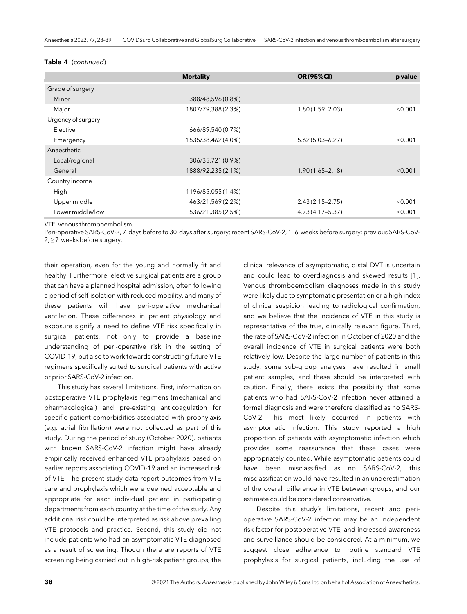#### Table 4 (continued)

|                    | <b>Mortality</b>   | <b>OR (95%CI)</b>   | p value |
|--------------------|--------------------|---------------------|---------|
| Grade of surgery   |                    |                     |         |
| Minor              | 388/48,596 (0.8%)  |                     |         |
| Major              | 1807/79,388(2.3%)  | $1.80(1.59 - 2.03)$ | < 0.001 |
| Urgency of surgery |                    |                     |         |
| Elective           | 666/89,540 (0.7%)  |                     |         |
| Emergency          | 1535/38,462(4.0%)  | $5.62(5.03 - 6.27)$ | < 0.001 |
| Anaesthetic        |                    |                     |         |
| Local/regional     | 306/35,721 (0.9%)  |                     |         |
| General            | 1888/92,235 (2.1%) | $1.90(1.65 - 2.18)$ | < 0.001 |
| Country income     |                    |                     |         |
| High               | 1196/85,055(1.4%)  |                     |         |
| Upper middle       | 463/21,569(2.2%)   | $2.43(2.15 - 2.75)$ | < 0.001 |
| Lower middle/low   | 536/21,385 (2.5%)  | $4.73(4.17 - 5.37)$ | < 0.001 |

VTE, venous thromboembolism.

Peri-operative SARS-CoV-2, 7 days before to 30 days after surgery; recent SARS-CoV-2, 1–6 weeks before surgery; previous SARS-CoV- $2, \geq 7$  weeks before surgery.

their operation, even for the young and normally fit and healthy. Furthermore, elective surgical patients are a group that can have a planned hospital admission, often following a period of self-isolation with reduced mobility, and many of these patients will have peri-operative mechanical ventilation. These differences in patient physiology and exposure signify a need to define VTE risk specifically in surgical patients, not only to provide a baseline understanding of peri-operative risk in the setting of COVID-19, but also to work towards constructing future VTE regimens specifically suited to surgical patients with active or prior SARS-CoV-2 infection.

This study has several limitations. First, information on postoperative VTE prophylaxis regimens (mechanical and pharmacological) and pre-existing anticoagulation for specific patient comorbidities associated with prophylaxis (e.g. atrial fibrillation) were not collected as part of this study. During the period of study (October 2020), patients with known SARS-CoV-2 infection might have already empirically received enhanced VTE prophylaxis based on earlier reports associating COVID-19 and an increased risk of VTE. The present study data report outcomes from VTE care and prophylaxis which were deemed acceptable and appropriate for each individual patient in participating departments from each country at the time of the study. Any additional risk could be interpreted as risk above prevailing VTE protocols and practice. Second, this study did not include patients who had an asymptomatic VTE diagnosed as a result of screening. Though there are reports of VTE screening being carried out in high-risk patient groups, the

clinical relevance of asymptomatic, distal DVT is uncertain and could lead to overdiagnosis and skewed results [1]. Venous thromboembolism diagnoses made in this study were likely due to symptomatic presentation or a high index of clinical suspicion leading to radiological confirmation, and we believe that the incidence of VTE in this study is representative of the true, clinically relevant figure. Third, the rate of SARS-CoV-2 infection in October of 2020 and the overall incidence of VTE in surgical patients were both relatively low. Despite the large number of patients in this study, some sub-group analyses have resulted in small patient samples, and these should be interpreted with caution. Finally, there exists the possibility that some patients who had SARS-CoV-2 infection never attained a formal diagnosis and were therefore classified as no SARS-CoV-2. This most likely occurred in patients with asymptomatic infection. This study reported a high proportion of patients with asymptomatic infection which provides some reassurance that these cases were appropriately counted. While asymptomatic patients could have been misclassified as no SARS-CoV-2, this misclassification would have resulted in an underestimation of the overall difference in VTE between groups, and our estimate could be considered conservative.

Despite this study's limitations, recent and perioperative SARS-CoV-2 infection may be an independent risk-factor for postoperative VTE, and increased awareness and surveillance should be considered. At a minimum, we suggest close adherence to routine standard VTE prophylaxis for surgical patients, including the use of